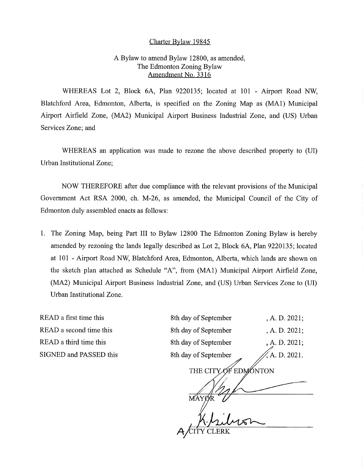## Charter Bylaw 19845

## A Bylaw to amend Bylaw 12800, as amended, The Edmonton Zoning Bylaw Amendment No. 3316

WHEREAS Lot 2, Block 6A, Plan 9220135; located at 101 - Airport Road NW, Blatchford Area, Edmonton, Alberta, is specified on the Zoning Map as (MA1) Municipal Airport Airfield Zone, (MA2) Municipal Airport Business Industrial Zone, and (US) Urban Services Zone; and

WHEREAS an application was made to rezone the above described property to (UI) Urban Institutional Zone;

NOW THEREFORE after due compliance with the relevant provisions of the Municipal Government Act RSA 2000, ch. M-26, as amended, the Municipal Council of the City of Edmonton duly assembled enacts as follows:

1. The Zoning Map, being Part III to Bylaw 12800 The Edmonton Zoning Bylaw is hereby amended by rezoning the lands legally described as Lot 2, Block 6A, Plan 9220135; located at 101 - Airport Road NW, Blatchford Area, Edmonton, Alberta, which lands are shown on the sketch plan attached as Schedule "A", from (MA1) Municipal Airport Airfield Zone, (MA2) Municipal Airport Business Industrial Zone, and (US) Urban Services Zone to (UI) Urban Institutional Zone.

READ a first time this READ a second time this READ a third time this SIGNED and PASSED this

| 8th day of September               | , A. D. 2021; |
|------------------------------------|---------------|
| 8th day of September               | , A. D. 2021: |
| 8th day of September               | , A. D. 2021: |
| 8th day of September               | A. D. 2021.   |
| <b>THE CITY</b><br><b>EDMÓNTON</b> |               |
|                                    |               |
| MÁY                                |               |
|                                    |               |
| ERK                                |               |
|                                    |               |